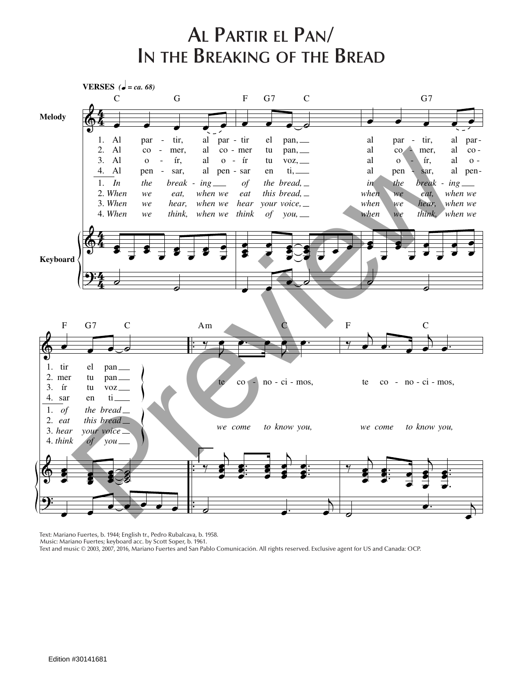## **Al Partir el Pan/ In the Breaking of the Bread**



Text: Mariano Fuertes, b. 1944; English tr., Pedro Rubalcava, b. 1958.

Music: Mariano Fuertes; keyboard acc. by Scott Soper, b. 1961.

Text and music © 2003, 2007, 2016, Mariano Fuertes and San Pablo Comunicación. All rights reserved. Exclusive agent for US and Canada: OCP.